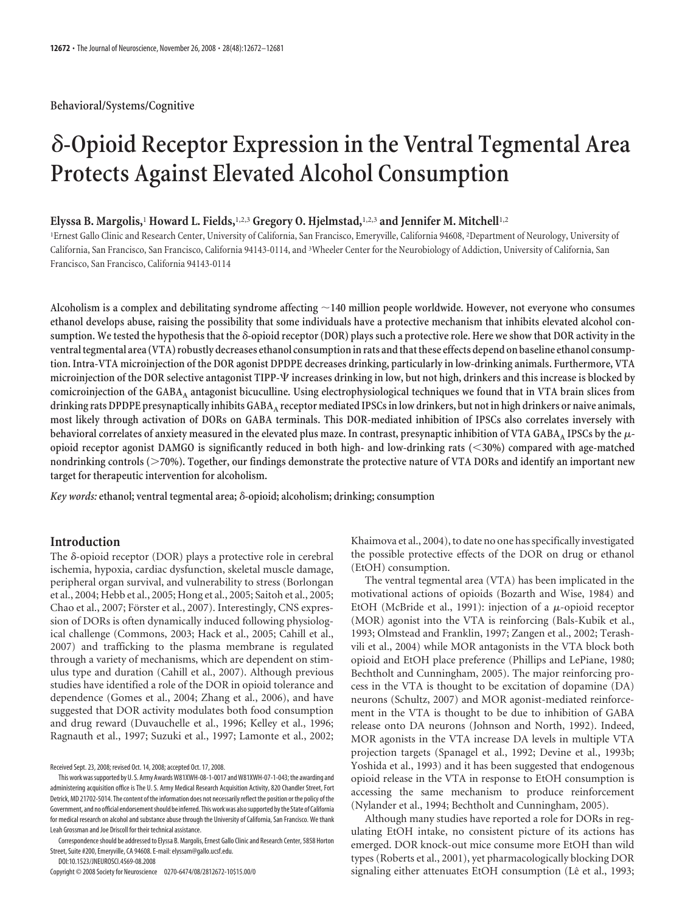**Behavioral/Systems/Cognitive**

# **-Opioid Receptor Expression in the Ventral Tegmental Area Protects Against Elevated Alcohol Consumption**

## **Elyssa B. Margolis,**<sup>1</sup> **Howard L. Fields,**1,2,3 **Gregory O. Hjelmstad,**1,2,3 **and Jennifer M. Mitchell**1,2

1 Ernest Gallo Clinic and Research Center, University of California, San Francisco, Emeryville, California 94608, <sup>2</sup> Department of Neurology, University of California, San Francisco, San Francisco, California 94143-0114, and <sup>3</sup> Wheeler Center for the Neurobiology of Addiction, University of California, San Francisco, San Francisco, California 94143-0114

**Alcoholism is a complex and debilitating syndrome affecting 140 million people worldwide. However, not everyone who consumes ethanol develops abuse, raising the possibility that some individuals have a protective mechanism that inhibits elevated alcohol consumption. We tested the hypothesis that the -opioid receptor (DOR) plays such a protective role. Here we show that DOR activity in the** ventral tegmental area (VTA) robustly decreases ethanol consumption in rats and that these effects depend on baseline ethanol consump**tion. Intra-VTA microinjection of the DOR agonist DPDPE decreases drinking, particularly in low-drinking animals. Furthermore, VTA microinjection of the DOR selective antagonist TIPP-**- **increases drinking in low, but not high, drinkers and this increase is blocked by comicroinjection of the GABAA antagonist bicuculline. Using electrophysiological techniques we found that in VTA brain slices from drinking rats DPDPE presynaptically inhibits GABAA receptor mediated IPSCs in low drinkers, but not in high drinkers or naive animals, most likely through activation of DORs on GABA terminals. This DOR-mediated inhibition of IPSCs also correlates inversely with** behavioral correlates of anxiety measured in the elevated plus maze. In contrast, presynaptic inhibition of VTA GABA<sub>A</sub> IPSCs by the  $\mu$ **opioid receptor agonist DAMGO is significantly reduced in both high- and low-drinking rats (30%) compared with age-matched nondrinking controls (70%). Together, our findings demonstrate the protective nature of VTA DORs and identify an important new target for therapeutic intervention for alcoholism.**

*Key words:* **ethanol; ventral tegmental area; -opioid; alcoholism; drinking; consumption**

# **Introduction**

The  $\delta$ -opioid receptor (DOR) plays a protective role in cerebral ischemia, hypoxia, cardiac dysfunction, skeletal muscle damage, peripheral organ survival, and vulnerability to stress (Borlongan et al., 2004; Hebb et al., 2005; Hong et al., 2005; Saitoh et al., 2005; Chao et al., 2007; Förster et al., 2007). Interestingly, CNS expression of DORs is often dynamically induced following physiological challenge (Commons, 2003; Hack et al., 2005; Cahill et al., 2007) and trafficking to the plasma membrane is regulated through a variety of mechanisms, which are dependent on stimulus type and duration (Cahill et al., 2007). Although previous studies have identified a role of the DOR in opioid tolerance and dependence (Gomes et al., 2004; Zhang et al., 2006), and have suggested that DOR activity modulates both food consumption and drug reward (Duvauchelle et al., 1996; Kelley et al., 1996; Ragnauth et al., 1997; Suzuki et al., 1997; Lamonte et al., 2002;

Received Sept. 23, 2008; revised Oct. 14, 2008; accepted Oct. 17, 2008.

This work was supported by U.S. Army Awards W81XWH-08-1-0017 and W81XWH-07-1-043; the awarding and administering acquisition office is The U. S. Army Medical Research Acquisition Activity, 820 Chandler Street, Fort Detrick, MD 21702-5014. The content of the information does not necessarily reflect the position or the policy of the Government, and no official endorsement should be inferred. This work was also supported by the State of California for medical research on alcohol and substance abuse through the University of California, San Francisco. We thank Leah Grossman and Joe Driscoll for their technical assistance.

Correspondenceshould be addressed to Elyssa B. Margolis, Ernest Gallo Clinic and Research Center, 5858 Horton Street, Suite #200, Emeryville, CA 94608. E-mail: elyssam@gallo.ucsf.edu.

DOI:10.1523/JNEUROSCI.4569-08.2008

Copyright © 2008 Society for Neuroscience 0270-6474/08/2812672-10\$15.00/0

Khaimova et al., 2004), to date no one has specifically investigated the possible protective effects of the DOR on drug or ethanol (EtOH) consumption.

The ventral tegmental area (VTA) has been implicated in the motivational actions of opioids (Bozarth and Wise, 1984) and EtOH (McBride et al., 1991): injection of a  $\mu$ -opioid receptor (MOR) agonist into the VTA is reinforcing (Bals-Kubik et al., 1993; Olmstead and Franklin, 1997; Zangen et al., 2002; Terashvili et al., 2004) while MOR antagonists in the VTA block both opioid and EtOH place preference (Phillips and LePiane, 1980; Bechtholt and Cunningham, 2005). The major reinforcing process in the VTA is thought to be excitation of dopamine (DA) neurons (Schultz, 2007) and MOR agonist-mediated reinforcement in the VTA is thought to be due to inhibition of GABA release onto DA neurons (Johnson and North, 1992). Indeed, MOR agonists in the VTA increase DA levels in multiple VTA projection targets (Spanagel et al., 1992; Devine et al., 1993b; Yoshida et al., 1993) and it has been suggested that endogenous opioid release in the VTA in response to EtOH consumption is accessing the same mechanism to produce reinforcement (Nylander et al., 1994; Bechtholt and Cunningham, 2005).

Although many studies have reported a role for DORs in regulating EtOH intake, no consistent picture of its actions has emerged. DOR knock-out mice consume more EtOH than wild types (Roberts et al., 2001), yet pharmacologically blocking DOR signaling either attenuates EtOH consumption (Lê et al., 1993;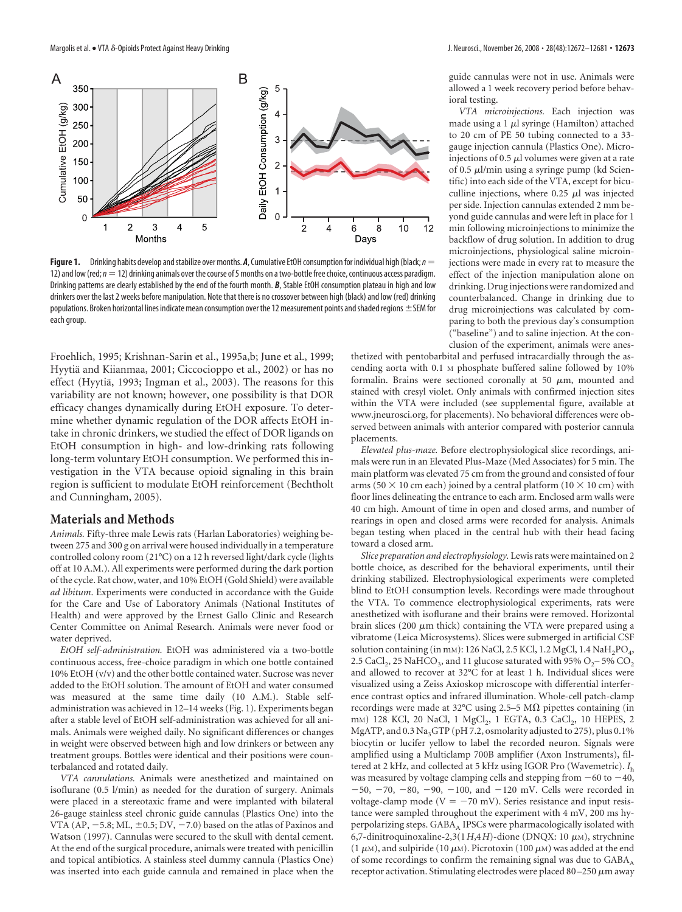

**Figure 1.** Drinking habits develop and stabilize over months. A, Cumulative EtOH consumption for individual high (black;  $n =$ 12) and low (red;  $n = 12$ ) drinking animals over the course of 5 months on a two-bottle free choice, continuous access paradigm. Drinking patterns are clearly established by the end of the fourth month. *B*, Stable EtOH consumption plateau in high and low drinkers over the last 2 weeks before manipulation. Note that there is no crossover between high (black) and low (red) drinking populations. Broken horizontal lines indicate mean consumption over the 12 measurement points and shaded regions  $\pm$  SEM for each group.

Froehlich, 1995; Krishnan-Sarin et al., 1995a,b; June et al., 1999; Hyytiä and Kiianmaa, 2001; Ciccocioppo et al., 2002) or has no effect (Hyytiä, 1993; Ingman et al., 2003). The reasons for this variability are not known; however, one possibility is that DOR efficacy changes dynamically during EtOH exposure. To determine whether dynamic regulation of the DOR affects EtOH intake in chronic drinkers, we studied the effect of DOR ligands on EtOH consumption in high- and low-drinking rats following long-term voluntary EtOH consumption. We performed this investigation in the VTA because opioid signaling in this brain region is sufficient to modulate EtOH reinforcement (Bechtholt and Cunningham, 2005).

## **Materials and Methods**

*Animals.* Fifty-three male Lewis rats (Harlan Laboratories) weighing between 275 and 300 g on arrival were housed individually in a temperature controlled colony room (21°C) on a 12 h reversed light/dark cycle (lights off at 10 A.M.). All experiments were performed during the dark portion of the cycle. Rat chow, water, and 10% EtOH (Gold Shield) were available *ad libitum*. Experiments were conducted in accordance with the Guide for the Care and Use of Laboratory Animals (National Institutes of Health) and were approved by the Ernest Gallo Clinic and Research Center Committee on Animal Research. Animals were never food or water deprived.

*EtOH self-administration.* EtOH was administered via a two-bottle continuous access, free-choice paradigm in which one bottle contained 10% EtOH (v/v) and the other bottle contained water. Sucrose was never added to the EtOH solution. The amount of EtOH and water consumed was measured at the same time daily (10 A.M.). Stable selfadministration was achieved in 12–14 weeks (Fig. 1). Experiments began after a stable level of EtOH self-administration was achieved for all animals. Animals were weighed daily. No significant differences or changes in weight were observed between high and low drinkers or between any treatment groups. Bottles were identical and their positions were counterbalanced and rotated daily.

*VTA cannulations.* Animals were anesthetized and maintained on isoflurane (0.5 l/min) as needed for the duration of surgery. Animals were placed in a stereotaxic frame and were implanted with bilateral 26-gauge stainless steel chronic guide cannulas (Plastics One) into the VTA (AP,  $-5.8$ ; ML,  $\pm 0.5$ ; DV,  $-7.0$ ) based on the atlas of Paxinos and Watson (1997). Cannulas were secured to the skull with dental cement. At the end of the surgical procedure, animals were treated with penicillin and topical antibiotics. A stainless steel dummy cannula (Plastics One) was inserted into each guide cannula and remained in place when the

guide cannulas were not in use. Animals were allowed a 1 week recovery period before behavioral testing.

*VTA microinjections.* Each injection was made using a 1  $\mu$ l syringe (Hamilton) attached to 20 cm of PE 50 tubing connected to a 33 gauge injection cannula (Plastics One). Microinjections of 0.5  $\mu$ l volumes were given at a rate of 0.5  $\mu$ l/min using a syringe pump (kd Scientific) into each side of the VTA, except for bicuculline injections, where  $0.25$   $\mu$ l was injected per side. Injection cannulas extended 2 mm beyond guide cannulas and were left in place for 1 min following microinjections to minimize the backflow of drug solution. In addition to drug microinjections, physiological saline microinjections were made in every rat to measure the effect of the injection manipulation alone on drinking. Drug injections were randomized and counterbalanced. Change in drinking due to drug microinjections was calculated by comparing to both the previous day's consumption ("baseline") and to saline injection. At the conclusion of the experiment, animals were anes-

thetized with pentobarbital and perfused intracardially through the ascending aorta with 0.1 M phosphate buffered saline followed by 10% formalin. Brains were sectioned coronally at 50  $\mu$ m, mounted and stained with cresyl violet. Only animals with confirmed injection sites within the VTA were included (see supplemental figure, available at www.jneurosci.org, for placements). No behavioral differences were observed between animals with anterior compared with posterior cannula placements.

*Elevated plus-maze.* Before electrophysiological slice recordings, animals were run in an Elevated Plus-Maze (Med Associates) for 5 min. The main platform was elevated 75 cm from the ground and consisted of four arms (50  $\times$  10 cm each) joined by a central platform (10  $\times$  10 cm) with floor lines delineating the entrance to each arm. Enclosed arm walls were 40 cm high. Amount of time in open and closed arms, and number of rearings in open and closed arms were recorded for analysis. Animals began testing when placed in the central hub with their head facing toward a closed arm.

*Slice preparation and electrophysiology.* Lewis rats were maintained on 2 bottle choice, as described for the behavioral experiments, until their drinking stabilized. Electrophysiological experiments were completed blind to EtOH consumption levels. Recordings were made throughout the VTA. To commence electrophysiological experiments, rats were anesthetized with isoflurane and their brains were removed. Horizontal brain slices (200  $\mu$ m thick) containing the VTA were prepared using a vibratome (Leica Microsystems). Slices were submerged in artificial CSF solution containing (in mm): 126 NaCl, 2.5 KCl, 1.2 MgCl, 1.4 NaH<sub>2</sub>PO<sub>4</sub>, 2.5 CaCl<sub>2</sub>, 25 NaHCO<sub>3</sub>, and 11 glucose saturated with 95% O<sub>2</sub>-5% CO<sub>2</sub> and allowed to recover at 32°C for at least 1 h. Individual slices were visualized using a Zeiss Axioskop microscope with differential interference contrast optics and infrared illumination. Whole-cell patch-clamp recordings were made at 32°C using 2.5–5 M $\Omega$  pipettes containing (in mm) 128 KCl, 20 NaCl, 1 MgCl<sub>2</sub>, 1 EGTA, 0.3 CaCl<sub>2</sub>, 10 HEPES, 2 MgATP, and 0.3 Na<sub>3</sub>GTP (pH 7.2, osmolarity adjusted to 275), plus 0.1% biocytin or lucifer yellow to label the recorded neuron. Signals were amplified using a Multiclamp 700B amplifier (Axon Instruments), filtered at 2 kHz, and collected at 5 kHz using IGOR Pro (Wavemetric). *I*<sup>h</sup> was measured by voltage clamping cells and stepping from  $-60$  to  $-40$ ,  $-50, -70, -80, -90, -100,$  and  $-120$  mV. Cells were recorded in voltage-clamp mode ( $V = -70$  mV). Series resistance and input resistance were sampled throughout the experiment with 4 mV, 200 ms hyperpolarizing steps. GABA<sub>A</sub> IPSCs were pharmacologically isolated with  $6,7$ -dinitroquinoxaline-2,3(1H,4H)-dione (DNQX: 10  $\mu$ M), strychnine  $(1 \mu)$ , and sulpiride  $(10 \mu)$ . Picrotoxin  $(100 \mu)$  was added at the end of some recordings to confirm the remaining signal was due to  $GABA_A$ receptor activation. Stimulating electrodes were placed 80–250  $\mu$ m away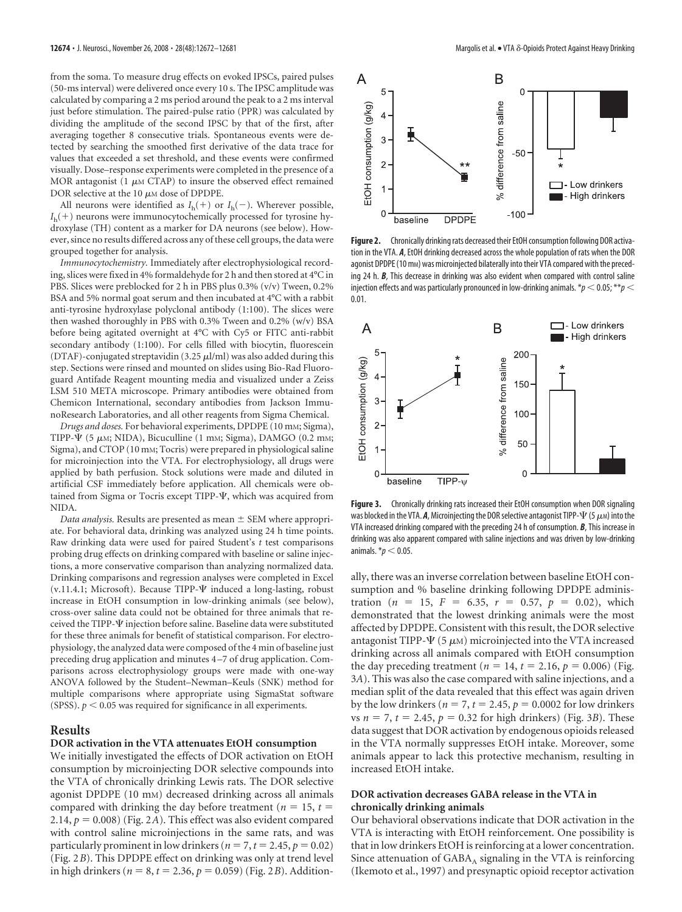from the soma. To measure drug effects on evoked IPSCs, paired pulses (50-ms interval) were delivered once every 10 s. The IPSC amplitude was calculated by comparing a 2 ms period around the peak to a 2 ms interval just before stimulation. The paired-pulse ratio (PPR) was calculated by dividing the amplitude of the second IPSC by that of the first, after averaging together 8 consecutive trials. Spontaneous events were detected by searching the smoothed first derivative of the data trace for values that exceeded a set threshold, and these events were confirmed visually. Dose–response experiments were completed in the presence of a MOR antagonist (1  $\mu$ m CTAP) to insure the observed effect remained DOR selective at the  $10 \mu$ M dose of DPDPE.

All neurons were identified as  $I_h(+)$  or  $I_h(-)$ . Wherever possible, *I*h( ) neurons were immunocytochemically processed for tyrosine hydroxylase (TH) content as a marker for DA neurons (see below). However, since no results differed across any of these cell groups, the data were grouped together for analysis.

*Immunocytochemistry.* Immediately after electrophysiological recording, slices were fixed in 4% formaldehyde for 2 h and then stored at 4°C in PBS. Slices were preblocked for 2 h in PBS plus 0.3% (v/v) Tween, 0.2% BSA and 5% normal goat serum and then incubated at 4°C with a rabbit anti-tyrosine hydroxylase polyclonal antibody (1:100). The slices were then washed thoroughly in PBS with 0.3% Tween and 0.2% (w/v) BSA before being agitated overnight at 4°C with Cy5 or FITC anti-rabbit secondary antibody (1:100). For cells filled with biocytin, fluorescein (DTAF)-conjugated streptavidin (3.25  $\mu$ l/ml) was also added during this step. Sections were rinsed and mounted on slides using Bio-Rad Fluoroguard Antifade Reagent mounting media and visualized under a Zeiss LSM 510 META microscope. Primary antibodies were obtained from Chemicon International, secondary antibodies from Jackson ImmunoResearch Laboratories, and all other reagents from Sigma Chemical.

*Drugs and doses.* For behavioral experiments, DPDPE (10 mM; Sigma), TIPP- $\Psi$  (5  $\mu$ м; NIDA), Bicuculline (1 mm; Sigma), DAMGO (0.2 mm; Sigma), and CTOP (10 mM; Tocris) were prepared in physiological saline for microinjection into the VTA. For electrophysiology, all drugs were applied by bath perfusion. Stock solutions were made and diluted in artificial CSF immediately before application. All chemicals were obtained from Sigma or Tocris except TIPP- $\Psi$ , which was acquired from NIDA.

*Data analysis.* Results are presented as mean  $\pm$  SEM where appropriate. For behavioral data, drinking was analyzed using 24 h time points. Raw drinking data were used for paired Student's *t* test comparisons probing drug effects on drinking compared with baseline or saline injections, a more conservative comparison than analyzing normalized data. Drinking comparisons and regression analyses were completed in Excel (v.11.4.1; Microsoft). Because TIPP- $\Psi$  induced a long-lasting, robust increase in EtOH consumption in low-drinking animals (see below), cross-over saline data could not be obtained for three animals that received the TIPP- $\Psi$  injection before saline. Baseline data were substituted for these three animals for benefit of statistical comparison. For electrophysiology, the analyzed data were composed of the 4 min of baseline just preceding drug application and minutes 4 –7 of drug application. Comparisons across electrophysiology groups were made with one-way ANOVA followed by the Student–Newman–Keuls (SNK) method for multiple comparisons where appropriate using SigmaStat software (SPSS).  $p < 0.05$  was required for significance in all experiments.

## **Results**

#### **DOR activation in the VTA attenuates EtOH consumption**

We initially investigated the effects of DOR activation on EtOH consumption by microinjecting DOR selective compounds into the VTA of chronically drinking Lewis rats. The DOR selective agonist DPDPE (10 mM) decreased drinking across all animals compared with drinking the day before treatment ( $n = 15$ ,  $t =$ 2.14,  $p = 0.008$ ) (Fig. 2A). This effect was also evident compared with control saline microinjections in the same rats, and was particularly prominent in low drinkers ( $n = 7$ ,  $t = 2.45$ ,  $p = 0.02$ ) (Fig. 2*B*). This DPDPE effect on drinking was only at trend level in high drinkers ( $n = 8$ ,  $t = 2.36$ ,  $p = 0.059$ ) (Fig. 2*B*). Addition-



Figure 2. Chronically drinking rats decreased their EtOH consumption following DOR activation in the VTA. *A*, EtOH drinking decreased across the whole population of rats when the DOR agonist DPDPE (10 mm) was microinjected bilaterally into their VTA compared with the preceding 24 h. *B*, This decrease in drinking was also evident when compared with control saline injection effects and was particularly pronounced in low-drinking animals.  $*_p$  < 0.05;  $^{**}p$  < 0.01.



**Figure 3.** Chronically drinking rats increased their EtOH consumption when DOR signaling was blocked in the VTA. **A**, Microinjecting the DOR selective antagonist TIPP- $\Psi$  (5  $\mu$ м) into the VTA increased drinking compared with the preceding 24 h of consumption. *B*, This increase in drinking was also apparent compared with saline injections and was driven by low-drinking animals.  $p < 0.05$ .

ally, there was an inverse correlation between baseline EtOH consumption and % baseline drinking following DPDPE administration ( $n = 15$ ,  $F = 6.35$ ,  $r = 0.57$ ,  $p = 0.02$ ), which demonstrated that the lowest drinking animals were the most affected by DPDPE. Consistent with this result, the DOR selective antagonist TIPP- $\Psi$  (5  $\mu$ м) microinjected into the VTA increased drinking across all animals compared with EtOH consumption the day preceding treatment ( $n = 14$ ,  $t = 2.16$ ,  $p = 0.006$ ) (Fig. 3*A*). This was also the case compared with saline injections, and a median split of the data revealed that this effect was again driven by the low drinkers ( $n = 7$ ,  $t = 2.45$ ,  $p = 0.0002$  for low drinkers vs  $n = 7$ ,  $t = 2.45$ ,  $p = 0.32$  for high drinkers) (Fig. 3*B*). These data suggest that DOR activation by endogenous opioids released in the VTA normally suppresses EtOH intake. Moreover, some animals appear to lack this protective mechanism, resulting in increased EtOH intake.

# **DOR activation decreases GABA release in the VTA in chronically drinking animals**

Our behavioral observations indicate that DOR activation in the VTA is interacting with EtOH reinforcement. One possibility is that in low drinkers EtOH is reinforcing at a lower concentration. Since attenuation of  $GABA_A$  signaling in the VTA is reinforcing (Ikemoto et al., 1997) and presynaptic opioid receptor activation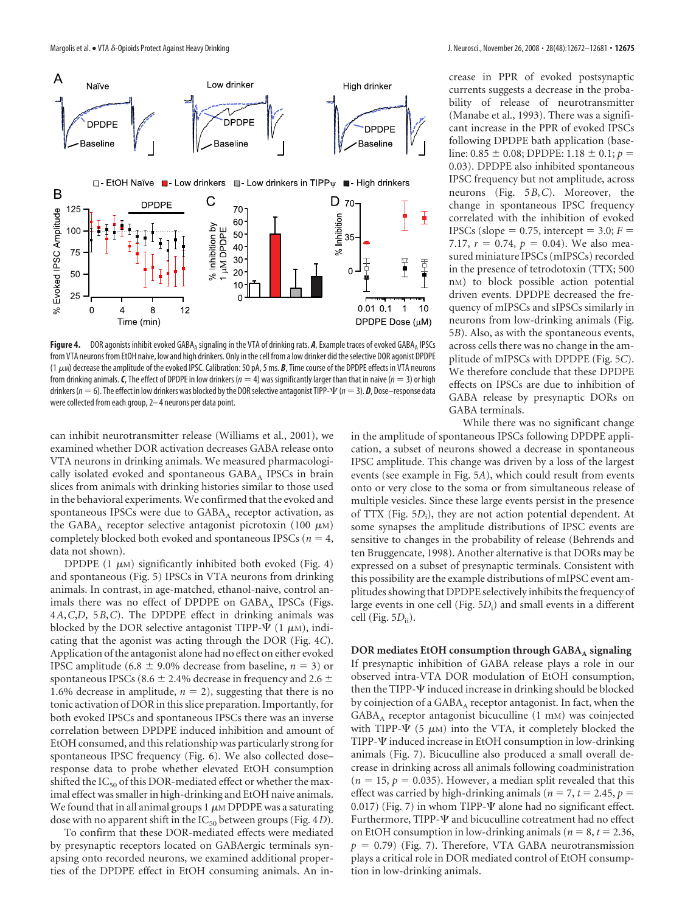

Figure 4. DOR agonists inhibit evoked GABA<sub>A</sub> signaling in the VTA of drinking rats. A, Example traces of evoked GABA<sub>A</sub> IPSCs from VTA neurons from EtOH naive, low and high drinkers. Only in the cell from a low drinker did theselective DOR agonist DPDPE (1-M) decrease the amplitude of the evoked IPSC. Calibration: 50 pA, 5 ms. *B*, Time course of the DPDPE effects in VTA neurons from drinking animals. *C*, The effect of DPDPE in low drinkers ( $n = 4$ ) was significantly larger than that in naive ( $n = 3$ ) or high drinkers ( $n=6$ ). The effect in low drinkers was blocked by the DOR selective antagonist TIPP-V ( $n=3$ ). **D**, Dose—response data were collected from each group, 2– 4 neurons per data point.

can inhibit neurotransmitter release (Williams et al., 2001), we examined whether DOR activation decreases GABA release onto VTA neurons in drinking animals. We measured pharmacologically isolated evoked and spontaneous GABA<sub>A</sub> IPSCs in brain slices from animals with drinking histories similar to those used in the behavioral experiments.We confirmed that the evoked and spontaneous IPSCs were due to  $GABA_A$  receptor activation, as the GABA<sub>A</sub> receptor selective antagonist picrotoxin (100  $\mu$ m) completely blocked both evoked and spontaneous IPSCs ( $n = 4$ , data not shown).

DPDPE  $(1 \mu M)$  significantly inhibited both evoked (Fig. 4) and spontaneous (Fig. 5) IPSCs in VTA neurons from drinking animals. In contrast, in age-matched, ethanol-naive, control animals there was no effect of DPDPE on GABAA IPSCs (Figs. 4*A*,*C*,*D*, 5*B*,*C*). The DPDPE effect in drinking animals was blocked by the DOR selective antagonist TIPP- $\Psi$  (1  $\mu$ M), indicating that the agonist was acting through the DOR (Fig. 4*C*). Application of the antagonist alone had no effect on either evoked IPSC amplitude (6.8  $\pm$  9.0% decrease from baseline, *n* = 3) or spontaneous IPSCs (8.6  $\pm$  2.4% decrease in frequency and 2.6  $\pm$ 1.6% decrease in amplitude,  $n = 2$ ), suggesting that there is no tonic activation of DOR in this slice preparation. Importantly, for both evoked IPSCs and spontaneous IPSCs there was an inverse correlation between DPDPE induced inhibition and amount of EtOH consumed, and this relationship was particularly strong for spontaneous IPSC frequency (Fig. 6). We also collected dose– response data to probe whether elevated EtOH consumption shifted the  $IC_{50}$  of this DOR-mediated effect or whether the maximal effect was smaller in high-drinking and EtOH naive animals. We found that in all animal groups 1  $\mu$ m DPDPE was a saturating dose with no apparent shift in the IC<sub>50</sub> between groups (Fig. 4*D*).

To confirm that these DOR-mediated effects were mediated by presynaptic receptors located on GABAergic terminals synapsing onto recorded neurons, we examined additional properties of the DPDPE effect in EtOH consuming animals. An increase in PPR of evoked postsynaptic currents suggests a decrease in the probability of release of neurotransmitter (Manabe et al., 1993). There was a significant increase in the PPR of evoked IPSCs following DPDPE bath application (baseline:  $0.85 \pm 0.08$ ; DPDPE:  $1.18 \pm 0.1$ ;  $p =$ 0.03). DPDPE also inhibited spontaneous IPSC frequency but not amplitude, across neurons (Fig. 5*B*,*C*). Moreover, the change in spontaneous IPSC frequency correlated with the inhibition of evoked IPSCs (slope  $= 0.75$ , intercept  $= 3.0; F =$ 7.17,  $r = 0.74$ ,  $p = 0.04$ ). We also measured miniature IPSCs (mIPSCs) recorded in the presence of tetrodotoxin (TTX; 500 nM) to block possible action potential driven events. DPDPE decreased the frequency of mIPSCs and sIPSCs similarly in neurons from low-drinking animals (Fig. 5*B*). Also, as with the spontaneous events, across cells there was no change in the amplitude of mIPSCs with DPDPE (Fig. 5*C*). We therefore conclude that these DPDPE effects on IPSCs are due to inhibition of GABA release by presynaptic DORs on GABA terminals.

While there was no significant change in the amplitude of spontaneous IPSCs following DPDPE application, a subset of neurons showed a decrease in spontaneous IPSC amplitude. This change was driven by a loss of the largest events (see example in Fig. 5*A*), which could result from events onto or very close to the soma or from simultaneous release of multiple vesicles. Since these large events persist in the presence of TTX (Fig. 5D<sub>i</sub>), they are not action potential dependent. At some synapses the amplitude distributions of IPSC events are sensitive to changes in the probability of release (Behrends and ten Bruggencate, 1998). Another alternative is that DORs may be expressed on a subset of presynaptic terminals. Consistent with this possibility are the example distributions of mIPSC event amplitudes showing that DPDPE selectively inhibits the frequency of large events in one cell (Fig. 5D<sub>i</sub>) and small events in a different cell (Fig. 5 $D$ <sub>ii</sub>).

**DOR mediates EtOH consumption through GABA** *signaling* If presynaptic inhibition of GABA release plays a role in our observed intra-VTA DOR modulation of EtOH consumption, then the TIPP- $\Psi$  induced increase in drinking should be blocked by coinjection of a GABA<sub>A</sub> receptor antagonist. In fact, when the  $GABA_A$  receptor antagonist bicuculline  $(1 \text{ mm})$  was coinjected with TIPP- $\Psi$  (5  $\mu$ M) into the VTA, it completely blocked the TIPP- $\Psi$  induced increase in EtOH consumption in low-drinking animals (Fig. 7). Bicuculline also produced a small overall decrease in drinking across all animals following coadministration  $(n = 15, p = 0.035)$ . However, a median split revealed that this effect was carried by high-drinking animals ( $n = 7$ ,  $t = 2.45$ ,  $p =$ 0.017) (Fig. 7) in whom TIPP- $\Psi$  alone had no significant effect. Furthermore, TIPP- $\Psi$  and bicuculline cotreatment had no effect on EtOH consumption in low-drinking animals ( $n = 8$ ,  $t = 2.36$ ,  $p = 0.79$ ) (Fig. 7). Therefore, VTA GABA neurotransmission plays a critical role in DOR mediated control of EtOH consumption in low-drinking animals.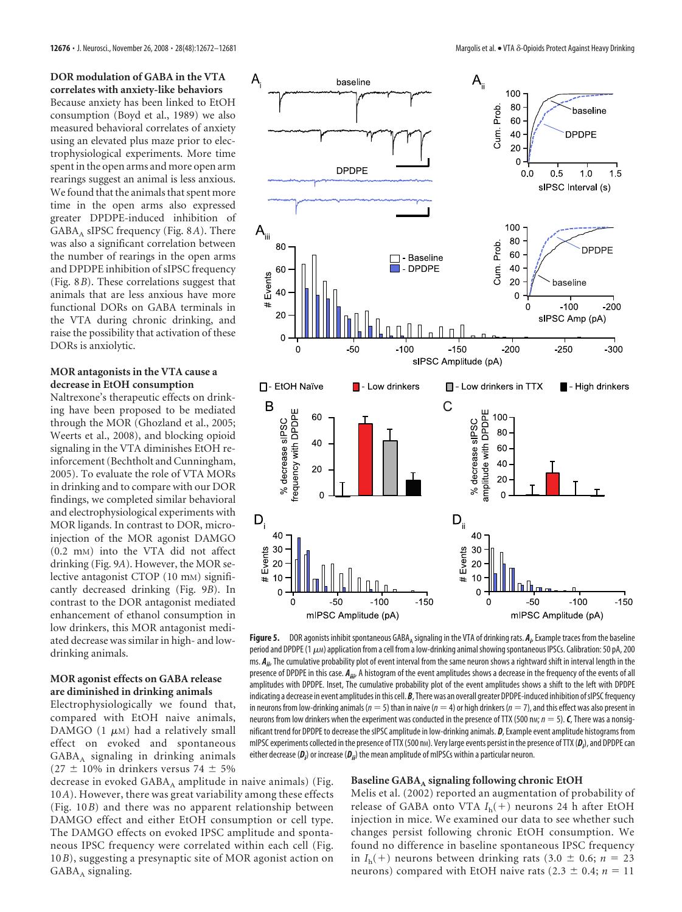**DOR modulation of GABA in the VTA correlates with anxiety-like behaviors** Because anxiety has been linked to EtOH consumption (Boyd et al., 1989) we also measured behavioral correlates of anxiety using an elevated plus maze prior to electrophysiological experiments. More time spent in the open arms and more open arm rearings suggest an animal is less anxious. We found that the animals that spent more time in the open arms also expressed greater DPDPE-induced inhibition of GABA<sub>A</sub> sIPSC frequency (Fig. 8*A*). There was also a significant correlation between the number of rearings in the open arms and DPDPE inhibition of sIPSC frequency (Fig. 8*B*). These correlations suggest that animals that are less anxious have more functional DORs on GABA terminals in the VTA during chronic drinking, and raise the possibility that activation of these DORs is anxiolytic.

### **MOR antagonists in the VTA cause a decrease in EtOH consumption**

Naltrexone's therapeutic effects on drinking have been proposed to be mediated through the MOR (Ghozland et al., 2005; Weerts et al., 2008), and blocking opioid signaling in the VTA diminishes EtOH reinforcement (Bechtholt and Cunningham, 2005). To evaluate the role of VTA MORs in drinking and to compare with our DOR findings, we completed similar behavioral and electrophysiological experiments with MOR ligands. In contrast to DOR, microinjection of the MOR agonist DAMGO (0.2 mM) into the VTA did not affect drinking (Fig. 9*A*). However, the MOR selective antagonist CTOP (10 mM) significantly decreased drinking (Fig. 9*B*). In contrast to the DOR antagonist mediated enhancement of ethanol consumption in low drinkers, this MOR antagonist mediated decrease was similar in high- and lowdrinking animals.

### **MOR agonist effects on GABA release are diminished in drinking animals**

Electrophysiologically we found that, compared with EtOH naive animals, DAMGO (1  $\mu$ m) had a relatively small effect on evoked and spontaneous  $GABA_A$  signaling in drinking animals (27  $\pm$  10% in drinkers versus 74  $\pm$  5%

decrease in evoked GABA<sub>A</sub> amplitude in naive animals) (Fig. 10*A*). However, there was great variability among these effects (Fig. 10*B*) and there was no apparent relationship between DAMGO effect and either EtOH consumption or cell type. The DAMGO effects on evoked IPSC amplitude and spontaneous IPSC frequency were correlated within each cell (Fig. 10*B*), suggesting a presynaptic site of MOR agonist action on  $GABA_A$  signaling.



**Figure 5.** DOR agonists inhibit spontaneous GABA<sub>A</sub> signaling in the VTA of drinking rats.  $A_\mu$  Example traces from the baseline period and DPDPE (1  $\mu$ м) application from a cell from a low-drinking animal showing spontaneous IPSCs. Calibration: 50 pA, 200 ms. *Aii*, The cumulative probability plot of event interval from the same neuron shows a rightward shift in interval length in the presence of DPDPE in this case.  $A_{ijir}$  A histogram of the event amplitudes shows a decrease in the frequency of the events of all amplitudes with DPDPE. Inset, The cumulative probability plot of the event amplitudes shows a shift to the left with DPDPE indicating a decrease in event amplitudes in this cell. *B*, There was an overall greater DPDPE-induced inhibition of sIPSC frequency in neurons from low-drinking animals ( $n = 5$ ) than in naive ( $n = 4$ ) or high drinkers ( $n = 7$ ), and this effect was also present in neurons from low drinkers when the experiment was conducted in the presence of TTX (500 n<sub>M</sub>;  $n = 5$ ). **C**, There was a nonsignificant trend for DPDPE to decrease the sIPSC amplitude in low-drinking animals. *D*, Example event amplitude histograms from mIPSC experiments collected in the presence of TTX (500 nm). Very large events persist in the presence of TTX (**D<sub>i</sub>), and DPDPE can** either decrease (**D**<sub>i</sub>) or increase (**D**<sub>ii</sub>) the mean amplitude of mIPSCs within a particular neuron.

#### Baseline GABA<sub>A</sub> signaling following chronic EtOH

Melis et al. (2002) reported an augmentation of probability of release of GABA onto VTA *I*h( ) neurons 24 h after EtOH injection in mice. We examined our data to see whether such changes persist following chronic EtOH consumption. We found no difference in baseline spontaneous IPSC frequency in  $I_h$ (+) neurons between drinking rats (3.0  $\pm$  0.6; *n* = 23 neurons) compared with EtOH naive rats  $(2.3 \pm 0.4; n = 11)$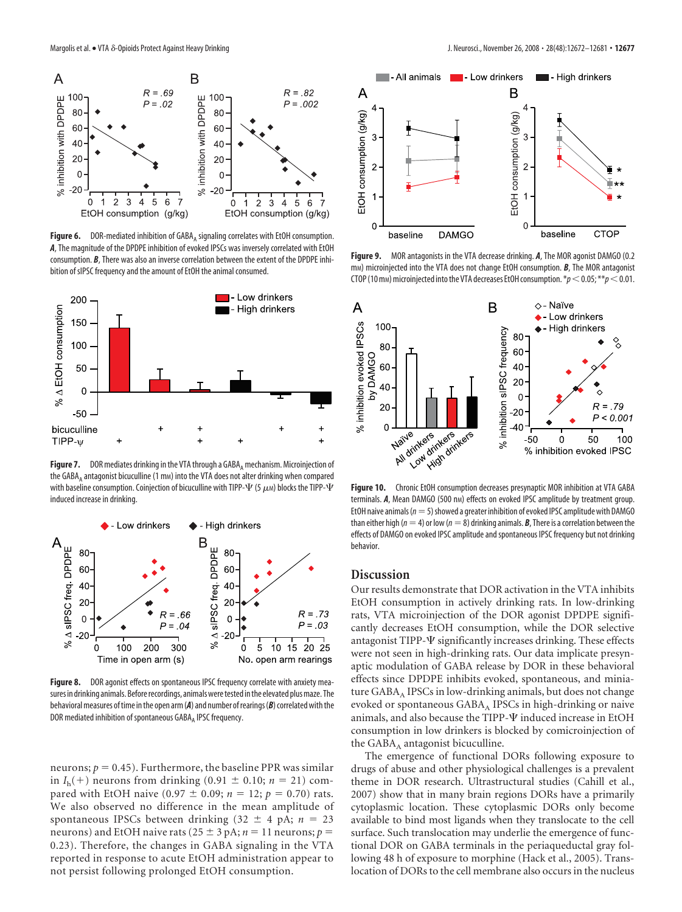

Figure 6. DOR-mediated inhibition of GABA<sub>A</sub> signaling correlates with EtOH consumption. *A*, The magnitude of the DPDPE inhibition of evoked IPSCs was inversely correlated with EtOH consumption. *B*, There was also an inverse correlation between the extent of the DPDPE inhibition of sIPSC frequency and the amount of EtOH the animal consumed.



**Figure 7.** DOR mediates drinking in the VTA through a GABA, mechanism. Microinjection of the GABA<sub>A</sub> antagonist bicuculline (1 mm) into the VTA does not alter drinking when compared with baseline consumption. Coinjection of bicuculline with TIPP- $\Psi$  (5  $\mu$ м) blocks the TIPP- $\Psi$ induced increase in drinking.



Figure 8. DOR agonist effects on spontaneous IPSC frequency correlate with anxiety measures in drinking animals. Before recordings, animals were tested in the elevated plus maze. The behavioral measures of time in the open arm (A) and number of rearings (B) correlated with the DOR mediated inhibition of spontaneous GABA, IPSC frequency.

neurons;  $p = 0.45$ ). Furthermore, the baseline PPR was similar in  $I_h$ (+) neurons from drinking (0.91  $\pm$  0.10; *n* = 21) compared with EtOH naive (0.97  $\pm$  0.09;  $n = 12$ ;  $p = 0.70$ ) rats. We also observed no difference in the mean amplitude of spontaneous IPSCs between drinking  $(32 \pm 4 \text{ pA}; n = 23)$ neurons) and EtOH naive rats ( $25 \pm 3$  pA;  $n = 11$  neurons;  $p =$ 0.23). Therefore, the changes in GABA signaling in the VTA reported in response to acute EtOH administration appear to not persist following prolonged EtOH consumption.



**Figure 9.** MOR antagonists in the VTA decrease drinking. *A*, The MOR agonist DAMGO (0.2 m<sub>M</sub>) microinjected into the VTA does not change EtOH consumption. **B**, The MOR antagonist CTOP (10 mm) microinjected into the VTA decreases EtOH consumption.  $*p$  < 0.05;  $**p$  < 0.01.



**Figure 10.** Chronic EtOH consumption decreases presynaptic MOR inhibition at VTA GABA terminals. *A*, Mean DAMGO (500 nm) effects on evoked IPSC amplitude by treatment group. EtOH naive animals ( $n = 5$ ) showed a greater inhibition of evoked IPSC amplitude with DAMGO than either high ( $n = 4$ ) or low ( $n = 8$ ) drinking animals. **B**, There is a correlation between the effects of DAMGO on evoked IPSC amplitude and spontaneous IPSC frequency but not drinking behavior.

## **Discussion**

Our results demonstrate that DOR activation in the VTA inhibits EtOH consumption in actively drinking rats. In low-drinking rats, VTA microinjection of the DOR agonist DPDPE significantly decreases EtOH consumption, while the DOR selective antagonist TIPP- $\Psi$  significantly increases drinking. These effects were not seen in high-drinking rats. Our data implicate presynaptic modulation of GABA release by DOR in these behavioral effects since DPDPE inhibits evoked, spontaneous, and miniature  $GABA_A$  IPSCs in low-drinking animals, but does not change evoked or spontaneous  $GABA_A$  IPSCs in high-drinking or naive animals, and also because the TIPP- $\Psi$  induced increase in EtOH consumption in low drinkers is blocked by comicroinjection of the  $GABA_A$  antagonist bicuculline.

The emergence of functional DORs following exposure to drugs of abuse and other physiological challenges is a prevalent theme in DOR research. Ultrastructural studies (Cahill et al., 2007) show that in many brain regions DORs have a primarily cytoplasmic location. These cytoplasmic DORs only become available to bind most ligands when they translocate to the cell surface. Such translocation may underlie the emergence of functional DOR on GABA terminals in the periaqueductal gray following 48 h of exposure to morphine (Hack et al., 2005). Translocation of DORs to the cell membrane also occurs in the nucleus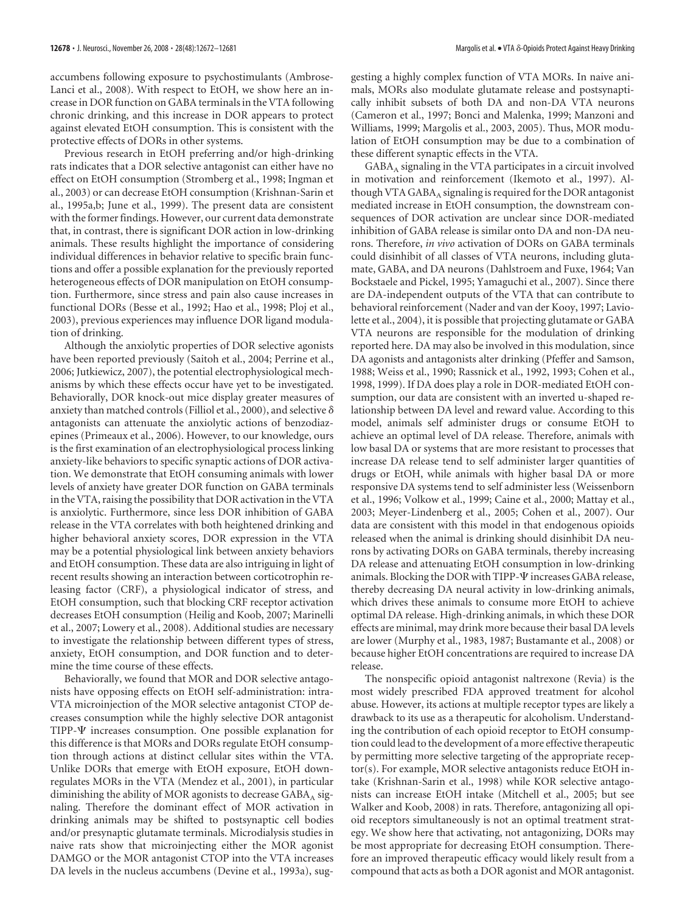accumbens following exposure to psychostimulants (Ambrose-Lanci et al., 2008). With respect to EtOH, we show here an increase in DOR function on GABA terminals in the VTA following chronic drinking, and this increase in DOR appears to protect against elevated EtOH consumption. This is consistent with the protective effects of DORs in other systems.

Previous research in EtOH preferring and/or high-drinking rats indicates that a DOR selective antagonist can either have no effect on EtOH consumption (Stromberg et al., 1998; Ingman et al., 2003) or can decrease EtOH consumption (Krishnan-Sarin et al., 1995a,b; June et al., 1999). The present data are consistent with the former findings. However, our current data demonstrate that, in contrast, there is significant DOR action in low-drinking animals. These results highlight the importance of considering individual differences in behavior relative to specific brain functions and offer a possible explanation for the previously reported heterogeneous effects of DOR manipulation on EtOH consumption. Furthermore, since stress and pain also cause increases in functional DORs (Besse et al., 1992; Hao et al., 1998; Ploj et al., 2003), previous experiences may influence DOR ligand modulation of drinking.

Although the anxiolytic properties of DOR selective agonists have been reported previously (Saitoh et al., 2004; Perrine et al., 2006; Jutkiewicz, 2007), the potential electrophysiological mechanisms by which these effects occur have yet to be investigated. Behaviorally, DOR knock-out mice display greater measures of anxiety than matched controls (Filliol et al., 2000), and selective  $\delta$ antagonists can attenuate the anxiolytic actions of benzodiazepines (Primeaux et al., 2006). However, to our knowledge, ours is the first examination of an electrophysiological process linking anxiety-like behaviors to specific synaptic actions of DOR activation. We demonstrate that EtOH consuming animals with lower levels of anxiety have greater DOR function on GABA terminals in the VTA, raising the possibility that DOR activation in the VTA is anxiolytic. Furthermore, since less DOR inhibition of GABA release in the VTA correlates with both heightened drinking and higher behavioral anxiety scores, DOR expression in the VTA may be a potential physiological link between anxiety behaviors and EtOH consumption. These data are also intriguing in light of recent results showing an interaction between corticotrophin releasing factor (CRF), a physiological indicator of stress, and EtOH consumption, such that blocking CRF receptor activation decreases EtOH consumption (Heilig and Koob, 2007; Marinelli et al., 2007; Lowery et al., 2008). Additional studies are necessary to investigate the relationship between different types of stress, anxiety, EtOH consumption, and DOR function and to determine the time course of these effects.

Behaviorally, we found that MOR and DOR selective antagonists have opposing effects on EtOH self-administration: intra-VTA microinjection of the MOR selective antagonist CTOP decreases consumption while the highly selective DOR antagonist TIPP- $\Psi$  increases consumption. One possible explanation for this difference is that MORs and DORs regulate EtOH consumption through actions at distinct cellular sites within the VTA. Unlike DORs that emerge with EtOH exposure, EtOH downregulates MORs in the VTA (Mendez et al., 2001), in particular diminishing the ability of MOR agonists to decrease  $GABA_A$  signaling. Therefore the dominant effect of MOR activation in drinking animals may be shifted to postsynaptic cell bodies and/or presynaptic glutamate terminals. Microdialysis studies in naive rats show that microinjecting either the MOR agonist DAMGO or the MOR antagonist CTOP into the VTA increases DA levels in the nucleus accumbens (Devine et al., 1993a), suggesting a highly complex function of VTA MORs. In naive animals, MORs also modulate glutamate release and postsynaptically inhibit subsets of both DA and non-DA VTA neurons (Cameron et al., 1997; Bonci and Malenka, 1999; Manzoni and Williams, 1999; Margolis et al., 2003, 2005). Thus, MOR modulation of EtOH consumption may be due to a combination of these different synaptic effects in the VTA.

 $GABA_A$  signaling in the VTA participates in a circuit involved in motivation and reinforcement (Ikemoto et al., 1997). Although VTA GABA $_A$  signaling is required for the DOR antagonist mediated increase in EtOH consumption, the downstream consequences of DOR activation are unclear since DOR-mediated inhibition of GABA release is similar onto DA and non-DA neurons. Therefore, *in vivo* activation of DORs on GABA terminals could disinhibit of all classes of VTA neurons, including glutamate, GABA, and DA neurons (Dahlstroem and Fuxe, 1964; Van Bockstaele and Pickel, 1995; Yamaguchi et al., 2007). Since there are DA-independent outputs of the VTA that can contribute to behavioral reinforcement (Nader and van der Kooy, 1997; Laviolette et al., 2004), it is possible that projecting glutamate or GABA VTA neurons are responsible for the modulation of drinking reported here. DA may also be involved in this modulation, since DA agonists and antagonists alter drinking (Pfeffer and Samson, 1988; Weiss et al., 1990; Rassnick et al., 1992, 1993; Cohen et al., 1998, 1999). If DA does play a role in DOR-mediated EtOH consumption, our data are consistent with an inverted u-shaped relationship between DA level and reward value. According to this model, animals self administer drugs or consume EtOH to achieve an optimal level of DA release. Therefore, animals with low basal DA or systems that are more resistant to processes that increase DA release tend to self administer larger quantities of drugs or EtOH, while animals with higher basal DA or more responsive DA systems tend to self administer less (Weissenborn et al., 1996; Volkow et al., 1999; Caine et al., 2000; Mattay et al., 2003; Meyer-Lindenberg et al., 2005; Cohen et al., 2007). Our data are consistent with this model in that endogenous opioids released when the animal is drinking should disinhibit DA neurons by activating DORs on GABA terminals, thereby increasing DA release and attenuating EtOH consumption in low-drinking animals. Blocking the DOR with TIPP- $\Psi$  increases GABA release, thereby decreasing DA neural activity in low-drinking animals, which drives these animals to consume more EtOH to achieve optimal DA release. High-drinking animals, in which these DOR effects are minimal, may drink more because their basal DA levels are lower (Murphy et al., 1983, 1987; Bustamante et al., 2008) or because higher EtOH concentrations are required to increase DA release.

The nonspecific opioid antagonist naltrexone (Revia) is the most widely prescribed FDA approved treatment for alcohol abuse. However, its actions at multiple receptor types are likely a drawback to its use as a therapeutic for alcoholism. Understanding the contribution of each opioid receptor to EtOH consumption could lead to the development of a more effective therapeutic by permitting more selective targeting of the appropriate receptor(s). For example, MOR selective antagonists reduce EtOH intake (Krishnan-Sarin et al., 1998) while KOR selective antagonists can increase EtOH intake (Mitchell et al., 2005; but see Walker and Koob, 2008) in rats. Therefore, antagonizing all opioid receptors simultaneously is not an optimal treatment strategy. We show here that activating, not antagonizing, DORs may be most appropriate for decreasing EtOH consumption. Therefore an improved therapeutic efficacy would likely result from a compound that acts as both a DOR agonist and MOR antagonist.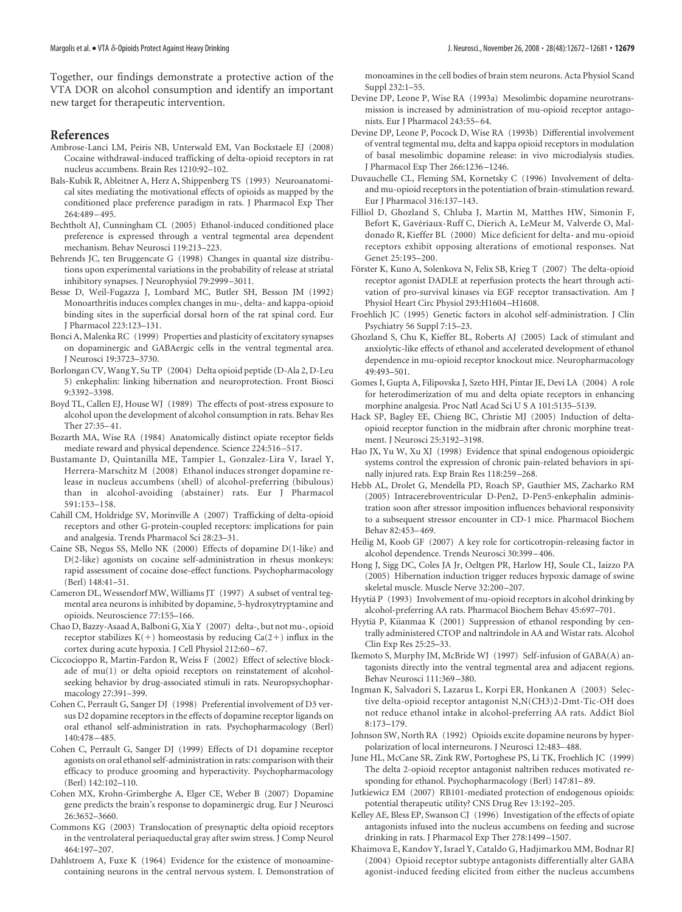Together, our findings demonstrate a protective action of the VTA DOR on alcohol consumption and identify an important new target for therapeutic intervention.

## **References**

- Ambrose-Lanci LM, Peiris NB, Unterwald EM, Van Bockstaele EJ (2008) Cocaine withdrawal-induced trafficking of delta-opioid receptors in rat nucleus accumbens. Brain Res 1210:92–102.
- Bals-Kubik R, Ableitner A, Herz A, Shippenberg TS (1993) Neuroanatomical sites mediating the motivational effects of opioids as mapped by the conditioned place preference paradigm in rats. J Pharmacol Exp Ther 264:489 –495.
- Bechtholt AJ, Cunningham CL (2005) Ethanol-induced conditioned place preference is expressed through a ventral tegmental area dependent mechanism. Behav Neurosci 119:213–223.
- Behrends JC, ten Bruggencate G (1998) Changes in quantal size distributions upon experimental variations in the probability of release at striatal inhibitory synapses. J Neurophysiol 79:2999 –3011.
- Besse D, Weil-Fugazza J, Lombard MC, Butler SH, Besson JM (1992) Monoarthritis induces complex changes in mu-, delta- and kappa-opioid binding sites in the superficial dorsal horn of the rat spinal cord. Eur J Pharmacol 223:123–131.
- Bonci A, Malenka RC (1999) Properties and plasticity of excitatory synapses on dopaminergic and GABAergic cells in the ventral tegmental area. J Neurosci 19:3723–3730.
- Borlongan CV, Wang Y, Su TP (2004) Delta opioid peptide (D-Ala 2, D-Leu 5) enkephalin: linking hibernation and neuroprotection. Front Biosci 9:3392–3398.
- Boyd TL, Callen EJ, House WJ (1989) The effects of post-stress exposure to alcohol upon the development of alcohol consumption in rats. Behav Res Ther 27:35–41.
- Bozarth MA, Wise RA (1984) Anatomically distinct opiate receptor fields mediate reward and physical dependence. Science 224:516 –517.
- Bustamante D, Quintanilla ME, Tampier L, Gonzalez-Lira V, Israel Y, Herrera-Marschitz M (2008) Ethanol induces stronger dopamine release in nucleus accumbens (shell) of alcohol-preferring (bibulous) than in alcohol-avoiding (abstainer) rats. Eur J Pharmacol 591:153–158.
- Cahill CM, Holdridge SV, Morinville A (2007) Trafficking of delta-opioid receptors and other G-protein-coupled receptors: implications for pain and analgesia. Trends Pharmacol Sci 28:23–31.
- Caine SB, Negus SS, Mello NK (2000) Effects of dopamine D(1-like) and D(2-like) agonists on cocaine self-administration in rhesus monkeys: rapid assessment of cocaine dose-effect functions. Psychopharmacology (Berl) 148:41–51.
- Cameron DL, Wessendorf MW, Williams JT (1997) A subset of ventral tegmental area neurons is inhibited by dopamine, 5-hydroxytryptamine and opioids. Neuroscience 77:155–166.
- Chao D, Bazzy-Asaad A, Balboni G, Xia Y (2007) delta-, but not mu-, opioid receptor stabilizes  $K(+)$  homeostasis by reducing  $Ca(2+)$  influx in the cortex during acute hypoxia. J Cell Physiol 212:60 –67.
- Ciccocioppo R, Martin-Fardon R, Weiss F (2002) Effect of selective blockade of mu(1) or delta opioid receptors on reinstatement of alcoholseeking behavior by drug-associated stimuli in rats. Neuropsychopharmacology 27:391–399.
- Cohen C, Perrault G, Sanger DJ (1998) Preferential involvement of D3 versus D2 dopamine receptors in the effects of dopamine receptor ligands on oral ethanol self-administration in rats. Psychopharmacology (Berl) 140:478 –485.
- Cohen C, Perrault G, Sanger DJ (1999) Effects of D1 dopamine receptor agonists on oral ethanol self-administration in rats: comparison with their efficacy to produce grooming and hyperactivity. Psychopharmacology (Berl) 142:102–110.
- Cohen MX, Krohn-Grimberghe A, Elger CE, Weber B (2007) Dopamine gene predicts the brain's response to dopaminergic drug. Eur J Neurosci 26:3652–3660.
- Commons KG (2003) Translocation of presynaptic delta opioid receptors in the ventrolateral periaqueductal gray after swim stress. J Comp Neurol 464:197–207.
- Dahlstroem A, Fuxe K (1964) Evidence for the existence of monoaminecontaining neurons in the central nervous system. I. Demonstration of

monoamines in the cell bodies of brain stem neurons. Acta Physiol Scand Suppl 232:1–55.

- Devine DP, Leone P, Wise RA (1993a) Mesolimbic dopamine neurotransmission is increased by administration of mu-opioid receptor antagonists. Eur J Pharmacol 243:55–64.
- Devine DP, Leone P, Pocock D, Wise RA (1993b) Differential involvement of ventral tegmental mu, delta and kappa opioid receptors in modulation of basal mesolimbic dopamine release: in vivo microdialysis studies. J Pharmacol Exp Ther 266:1236 –1246.
- Duvauchelle CL, Fleming SM, Kornetsky C (1996) Involvement of deltaand mu-opioid receptors in the potentiation of brain-stimulation reward. Eur J Pharmacol 316:137–143.
- Filliol D, Ghozland S, Chluba J, Martin M, Matthes HW, Simonin F, Befort K, Gavériaux-Ruff C, Dierich A, LeMeur M, Valverde O, Maldonado R, Kieffer BL (2000) Mice deficient for delta- and mu-opioid receptors exhibit opposing alterations of emotional responses. Nat Genet 25:195–200.
- Förster K, Kuno A, Solenkova N, Felix SB, Krieg T (2007) The delta-opioid receptor agonist DADLE at reperfusion protects the heart through activation of pro-survival kinases via EGF receptor transactivation. Am J Physiol Heart Circ Physiol 293:H1604 –H1608.
- Froehlich JC (1995) Genetic factors in alcohol self-administration. J Clin Psychiatry 56 Suppl 7:15–23.
- Ghozland S, Chu K, Kieffer BL, Roberts AJ (2005) Lack of stimulant and anxiolytic-like effects of ethanol and accelerated development of ethanol dependence in mu-opioid receptor knockout mice. Neuropharmacology 49:493–501.
- Gomes I, Gupta A, Filipovska J, Szeto HH, Pintar JE, Devi LA (2004) A role for heterodimerization of mu and delta opiate receptors in enhancing morphine analgesia. Proc Natl Acad Sci U S A 101:5135–5139.
- Hack SP, Bagley EE, Chieng BC, Christie MJ (2005) Induction of deltaopioid receptor function in the midbrain after chronic morphine treatment. J Neurosci 25:3192–3198.
- Hao JX, Yu W, Xu XJ (1998) Evidence that spinal endogenous opioidergic systems control the expression of chronic pain-related behaviors in spinally injured rats. Exp Brain Res 118:259 –268.
- Hebb AL, Drolet G, Mendella PD, Roach SP, Gauthier MS, Zacharko RM (2005) Intracerebroventricular D-Pen2, D-Pen5-enkephalin administration soon after stressor imposition influences behavioral responsivity to a subsequent stressor encounter in CD-1 mice. Pharmacol Biochem Behav 82:453–469.
- Heilig M, Koob GF (2007) A key role for corticotropin-releasing factor in alcohol dependence. Trends Neurosci 30:399 –406.
- Hong J, Sigg DC, Coles JA Jr, Oeltgen PR, Harlow HJ, Soule CL, Iaizzo PA (2005) Hibernation induction trigger reduces hypoxic damage of swine skeletal muscle. Muscle Nerve 32:200 –207.
- Hyytiä P (1993) Involvement of mu-opioid receptors in alcohol drinking by alcohol-preferring AA rats. Pharmacol Biochem Behav 45:697–701.
- Hyytiä P, Kiianmaa K (2001) Suppression of ethanol responding by centrally administered CTOP and naltrindole in AA and Wistar rats. Alcohol Clin Exp Res 25:25–33.
- Ikemoto S, Murphy JM, McBride WJ (1997) Self-infusion of GABA(A) antagonists directly into the ventral tegmental area and adjacent regions. Behav Neurosci 111:369 –380.
- Ingman K, Salvadori S, Lazarus L, Korpi ER, Honkanen A (2003) Selective delta-opioid receptor antagonist N,N(CH3)2-Dmt-Tic-OH does not reduce ethanol intake in alcohol-preferring AA rats. Addict Biol 8:173–179.
- Johnson SW, North RA (1992) Opioids excite dopamine neurons by hyperpolarization of local interneurons. J Neurosci 12:483–488.
- June HL, McCane SR, Zink RW, Portoghese PS, Li TK, Froehlich JC (1999) The delta 2-opioid receptor antagonist naltriben reduces motivated responding for ethanol. Psychopharmacology (Berl) 147:81–89.
- Jutkiewicz EM (2007) RB101-mediated protection of endogenous opioids: potential therapeutic utility? CNS Drug Rev 13:192–205.
- Kelley AE, Bless EP, Swanson CJ (1996) Investigation of the effects of opiate antagonists infused into the nucleus accumbens on feeding and sucrose drinking in rats. J Pharmacol Exp Ther 278:1499 –1507.
- Khaimova E, Kandov Y, Israel Y, Cataldo G, Hadjimarkou MM, Bodnar RJ (2004) Opioid receptor subtype antagonists differentially alter GABA agonist-induced feeding elicited from either the nucleus accumbens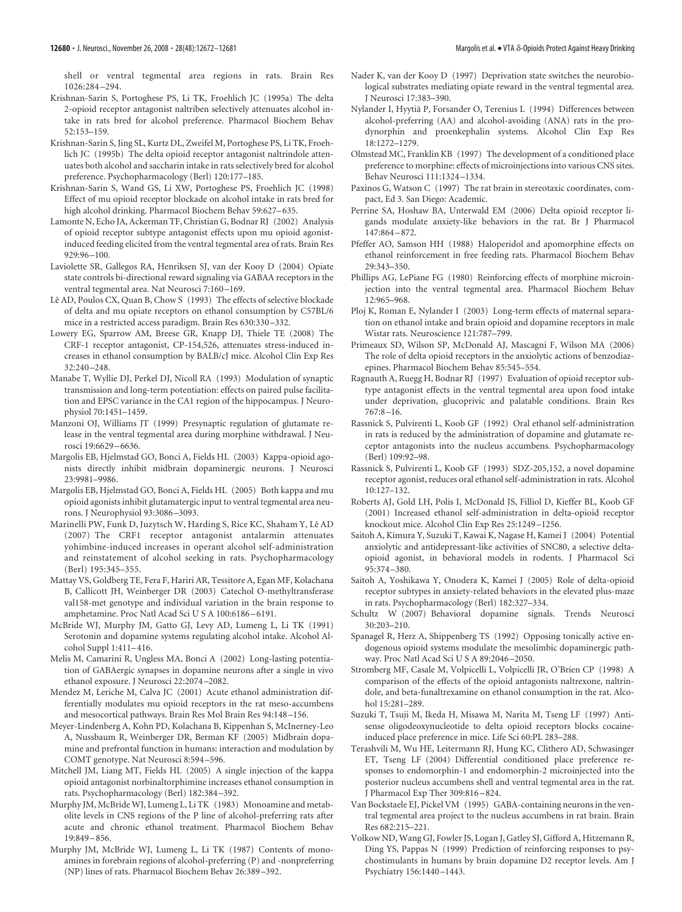shell or ventral tegmental area regions in rats. Brain Res 1026:284 –294.

- Krishnan-Sarin S, Portoghese PS, Li TK, Froehlich JC (1995a) The delta 2-opioid receptor antagonist naltriben selectively attenuates alcohol intake in rats bred for alcohol preference. Pharmacol Biochem Behav 52:153–159.
- Krishnan-Sarin S, Jing SL, Kurtz DL, Zweifel M, Portoghese PS, Li TK, Froehlich JC (1995b) The delta opioid receptor antagonist naltrindole attenuates both alcohol and saccharin intake in rats selectively bred for alcohol preference. Psychopharmacology (Berl) 120:177–185.
- Krishnan-Sarin S, Wand GS, Li XW, Portoghese PS, Froehlich JC (1998) Effect of mu opioid receptor blockade on alcohol intake in rats bred for high alcohol drinking. Pharmacol Biochem Behav 59:627–635.
- Lamonte N, Echo JA, Ackerman TF, Christian G, Bodnar RJ (2002) Analysis of opioid receptor subtype antagonist effects upon mu opioid agonistinduced feeding elicited from the ventral tegmental area of rats. Brain Res 929:96 –100.
- Laviolette SR, Gallegos RA, Henriksen SJ, van der Kooy D (2004) Opiate state controls bi-directional reward signaling via GABAA receptors in the ventral tegmental area. Nat Neurosci 7:160 –169.
- Lê AD, Poulos CX, Quan B, Chow S (1993) The effects of selective blockade of delta and mu opiate receptors on ethanol consumption by C57BL/6 mice in a restricted access paradigm. Brain Res 630:330 –332.
- Lowery EG, Sparrow AM, Breese GR, Knapp DJ, Thiele TE (2008) The CRF-1 receptor antagonist, CP-154,526, attenuates stress-induced increases in ethanol consumption by BALB/cJ mice. Alcohol Clin Exp Res 32:240 –248.
- Manabe T, Wyllie DJ, Perkel DJ, Nicoll RA (1993) Modulation of synaptic transmission and long-term potentiation: effects on paired pulse facilitation and EPSC variance in the CA1 region of the hippocampus. J Neurophysiol 70:1451–1459.
- Manzoni OJ, Williams JT (1999) Presynaptic regulation of glutamate release in the ventral tegmental area during morphine withdrawal. J Neurosci 19:6629 –6636.
- Margolis EB, Hjelmstad GO, Bonci A, Fields HL (2003) Kappa-opioid agonists directly inhibit midbrain dopaminergic neurons. J Neurosci 23:9981–9986.
- Margolis EB, Hjelmstad GO, Bonci A, Fields HL (2005) Both kappa and mu opioid agonists inhibit glutamatergic input to ventral tegmental area neurons. J Neurophysiol 93:3086 –3093.
- Marinelli PW, Funk D, Juzytsch W, Harding S, Rice KC, Shaham Y, Lê AD (2007) The CRF1 receptor antagonist antalarmin attenuates yohimbine-induced increases in operant alcohol self-administration and reinstatement of alcohol seeking in rats. Psychopharmacology (Berl) 195:345–355.
- Mattay VS, Goldberg TE, Fera F, Hariri AR, Tessitore A, Egan MF, Kolachana B, Callicott JH, Weinberger DR (2003) Catechol O-methyltransferase val158-met genotype and individual variation in the brain response to amphetamine. Proc Natl Acad Sci U S A 100:6186 –6191.
- McBride WJ, Murphy JM, Gatto GJ, Levy AD, Lumeng L, Li TK (1991) Serotonin and dopamine systems regulating alcohol intake. Alcohol Alcohol Suppl 1:411–416.
- Melis M, Camarini R, Ungless MA, Bonci A (2002) Long-lasting potentiation of GABAergic synapses in dopamine neurons after a single in vivo ethanol exposure. J Neurosci 22:2074 –2082.
- Mendez M, Leriche M, Calva JC (2001) Acute ethanol administration differentially modulates mu opioid receptors in the rat meso-accumbens and mesocortical pathways. Brain Res Mol Brain Res 94:148 –156.
- Meyer-Lindenberg A, Kohn PD, Kolachana B, Kippenhan S, McInerney-Leo A, Nussbaum R, Weinberger DR, Berman KF (2005) Midbrain dopamine and prefrontal function in humans: interaction and modulation by COMT genotype. Nat Neurosci 8:594 –596.
- Mitchell JM, Liang MT, Fields HL (2005) A single injection of the kappa opioid antagonist norbinaltorphimine increases ethanol consumption in rats. Psychopharmacology (Berl) 182:384 –392.
- Murphy JM, McBride WJ, Lumeng L, Li TK (1983) Monoamine and metabolite levels in CNS regions of the P line of alcohol-preferring rats after acute and chronic ethanol treatment. Pharmacol Biochem Behav 19:849 –856.
- Murphy JM, McBride WJ, Lumeng L, Li TK (1987) Contents of monoamines in forebrain regions of alcohol-preferring (P) and -nonpreferring (NP) lines of rats. Pharmacol Biochem Behav 26:389 –392.
- Nader K, van der Kooy D (1997) Deprivation state switches the neurobiological substrates mediating opiate reward in the ventral tegmental area. J Neurosci 17:383–390.
- Nylander I, Hyytia¨ P, Forsander O, Terenius L (1994) Differences between alcohol-preferring (AA) and alcohol-avoiding (ANA) rats in the prodynorphin and proenkephalin systems. Alcohol Clin Exp Res 18:1272–1279.
- Olmstead MC, Franklin KB (1997) The development of a conditioned place preference to morphine: effects of microinjections into various CNS sites. Behav Neurosci 111:1324 –1334.
- Paxinos G, Watson C (1997) The rat brain in stereotaxic coordinates, compact, Ed 3. San Diego: Academic.
- Perrine SA, Hoshaw BA, Unterwald EM (2006) Delta opioid receptor ligands modulate anxiety-like behaviors in the rat. Br J Pharmacol 147:864 –872.
- Pfeffer AO, Samson HH (1988) Haloperidol and apomorphine effects on ethanol reinforcement in free feeding rats. Pharmacol Biochem Behav 29:343–350.
- Phillips AG, LePiane FG (1980) Reinforcing effects of morphine microinjection into the ventral tegmental area. Pharmacol Biochem Behav 12:965–968.
- Ploj K, Roman E, Nylander I (2003) Long-term effects of maternal separation on ethanol intake and brain opioid and dopamine receptors in male Wistar rats. Neuroscience 121:787–799.
- Primeaux SD, Wilson SP, McDonald AJ, Mascagni F, Wilson MA (2006) The role of delta opioid receptors in the anxiolytic actions of benzodiazepines. Pharmacol Biochem Behav 85:545–554.
- Ragnauth A, Ruegg H, Bodnar RJ (1997) Evaluation of opioid receptor subtype antagonist effects in the ventral tegmental area upon food intake under deprivation, glucoprivic and palatable conditions. Brain Res 767:8 –16.
- Rassnick S, Pulvirenti L, Koob GF (1992) Oral ethanol self-administration in rats is reduced by the administration of dopamine and glutamate receptor antagonists into the nucleus accumbens. Psychopharmacology (Berl) 109:92–98.
- Rassnick S, Pulvirenti L, Koob GF (1993) SDZ-205,152, a novel dopamine receptor agonist, reduces oral ethanol self-administration in rats. Alcohol 10:127–132.
- Roberts AJ, Gold LH, Polis I, McDonald JS, Filliol D, Kieffer BL, Koob GF (2001) Increased ethanol self-administration in delta-opioid receptor knockout mice. Alcohol Clin Exp Res 25:1249 –1256.
- Saitoh A, Kimura Y, Suzuki T, Kawai K, Nagase H, Kamei J (2004) Potential anxiolytic and antidepressant-like activities of SNC80, a selective deltaopioid agonist, in behavioral models in rodents. J Pharmacol Sci 95:374 –380.
- Saitoh A, Yoshikawa Y, Onodera K, Kamei J (2005) Role of delta-opioid receptor subtypes in anxiety-related behaviors in the elevated plus-maze in rats. Psychopharmacology (Berl) 182:327–334.
- Schultz W (2007) Behavioral dopamine signals. Trends Neurosci 30:203–210.
- Spanagel R, Herz A, Shippenberg TS (1992) Opposing tonically active endogenous opioid systems modulate the mesolimbic dopaminergic pathway. Proc Natl Acad Sci U S A 89:2046 –2050.
- Stromberg MF, Casale M, Volpicelli L, Volpicelli JR, O'Brien CP (1998) A comparison of the effects of the opioid antagonists naltrexone, naltrindole, and beta-funaltrexamine on ethanol consumption in the rat. Alcohol 15:281–289.
- Suzuki T, Tsuji M, Ikeda H, Misawa M, Narita M, Tseng LF (1997) Antisense oligodeoxynucleotide to delta opioid receptors blocks cocaineinduced place preference in mice. Life Sci 60:PL 283–288.
- Terashvili M, Wu HE, Leitermann RJ, Hung KC, Clithero AD, Schwasinger ET, Tseng LF (2004) Differential conditioned place preference responses to endomorphin-1 and endomorphin-2 microinjected into the posterior nucleus accumbens shell and ventral tegmental area in the rat. J Pharmacol Exp Ther 309:816 –824.
- Van Bockstaele EJ, Pickel VM (1995) GABA-containing neurons in the ventral tegmental area project to the nucleus accumbens in rat brain. Brain Res 682:215–221.
- Volkow ND, Wang GJ, Fowler JS, Logan J, Gatley SJ, Gifford A, Hitzemann R, Ding YS, Pappas N (1999) Prediction of reinforcing responses to psychostimulants in humans by brain dopamine D2 receptor levels. Am J Psychiatry 156:1440 –1443.